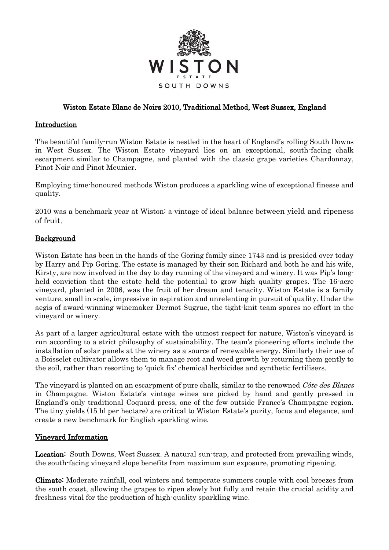

## Wiston Estate Blanc de Noirs 2010, Traditional Method, West Sussex, England

## **Introduction**

The beautiful family-run Wiston Estate is nestled in the heart of England's rolling South Downs in West Sussex. The Wiston Estate vineyard lies on an exceptional, south-facing chalk escarpment similar to Champagne, and planted with the classic grape varieties Chardonnay, Pinot Noir and Pinot Meunier.

Employing time-honoured methods Wiston produces a sparkling wine of exceptional finesse and quality.

2010 was a benchmark year at Wiston: a vintage of ideal balance between yield and ripeness of fruit.

### Background

Wiston Estate has been in the hands of the Goring family since 1743 and is presided over today by Harry and Pip Goring. The estate is managed by their son Richard and both he and his wife, Kirsty, are now involved in the day to day running of the vineyard and winery. It was Pip's longheld conviction that the estate held the potential to grow high quality grapes. The 16-acre vineyard, planted in 2006, was the fruit of her dream and tenacity. Wiston Estate is a family venture, small in scale, impressive in aspiration and unrelenting in pursuit of quality. Under the aegis of award-winning winemaker Dermot Sugrue, the tight-knit team spares no effort in the vineyard or winery.

As part of a larger agricultural estate with the utmost respect for nature, Wiston's vineyard is run according to a strict philosophy of sustainability. The team's pioneering efforts include the installation of solar panels at the winery as a source of renewable energy. Similarly their use of a Boisselet cultivator allows them to manage root and weed growth by returning them gently to the soil, rather than resorting to 'quick fix' chemical herbicides and synthetic fertilisers.

The vineyard is planted on an escarpment of pure chalk, similar to the renowned Côte des Blancs in Champagne. Wiston Estate's vintage wines are picked by hand and gently pressed in England's only traditional Coquard press, one of the few outside France's Champagne region. The tiny yields (15 hl per hectare) are critical to Wiston Estate's purity, focus and elegance, and create a new benchmark for English sparkling wine.

#### Vineyard Information

Location: South Downs, West Sussex. A natural sun-trap, and protected from prevailing winds, the south-facing vineyard slope benefits from maximum sun exposure, promoting ripening.

Climate: Moderate rainfall, cool winters and temperate summers couple with cool breezes from the south coast, allowing the grapes to ripen slowly but fully and retain the crucial acidity and freshness vital for the production of high-quality sparkling wine.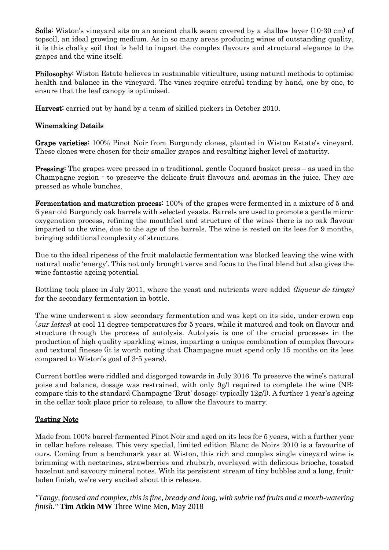Soils: Wiston's vineyard sits on an ancient chalk seam covered by a shallow layer (10-30 cm) of topsoil, an ideal growing medium. As in so many areas producing wines of outstanding quality, it is this chalky soil that is held to impart the complex flavours and structural elegance to the grapes and the wine itself.

Philosophy: Wiston Estate believes in sustainable viticulture, using natural methods to optimise health and balance in the vineyard. The vines require careful tending by hand, one by one, to ensure that the leaf canopy is optimised.

Harvest: carried out by hand by a team of skilled pickers in October 2010.

## Winemaking Details

Grape varieties: 100% Pinot Noir from Burgundy clones, planted in Wiston Estate's vineyard. These clones were chosen for their smaller grapes and resulting higher level of maturity.

Pressing: The grapes were pressed in a traditional, gentle Coquard basket press – as used in the Champagne region - to preserve the delicate fruit flavours and aromas in the juice. They are pressed as whole bunches.

Fermentation and maturation process: 100% of the grapes were fermented in a mixture of 5 and 6 year old Burgundy oak barrels with selected yeasts. Barrels are used to promote a gentle microoxygenation process, refining the mouthfeel and structure of the wine; there is no oak flavour imparted to the wine, due to the age of the barrels. The wine is rested on its lees for 9 months, bringing additional complexity of structure.

Due to the ideal ripeness of the fruit malolactic fermentation was blocked leaving the wine with natural malic 'energy'. This not only brought verve and focus to the final blend but also gives the wine fantastic ageing potential.

Bottling took place in July 2011, where the yeast and nutrients were added *(liqueur de tirage)* for the secondary fermentation in bottle.

The wine underwent a slow secondary fermentation and was kept on its side, under crown cap (sur lattes) at cool 11 degree temperatures for 5 years, while it matured and took on flavour and structure through the process of autolysis. Autolysis is one of the crucial processes in the production of high quality sparkling wines, imparting a unique combination of complex flavours and textural finesse (it is worth noting that Champagne must spend only 15 months on its lees compared to Wiston's goal of 3-5 years).

Current bottles were riddled and disgorged towards in July 2016. To preserve the wine's natural poise and balance, dosage was restrained, with only 9g/l required to complete the wine (NB: compare this to the standard Champagne 'Brut' dosage: typically 12g/l). A further 1 year's ageing in the cellar took place prior to release, to allow the flavours to marry.

#### Tasting Note

Made from 100% barrel-fermented Pinot Noir and aged on its lees for 5 years, with a further year in cellar before release. This very special, limited edition Blanc de Noirs 2010 is a favourite of ours. Coming from a benchmark year at Wiston, this rich and complex single vineyard wine is brimming with nectarines, strawberries and rhubarb, overlayed with delicious brioche, toasted hazelnut and savoury mineral notes. With its persistent stream of tiny bubbles and a long, fruitladen finish, we're very excited about this release.

*"Tangy, focused and complex, this is fine, bready and long, with subtle red fruits and a mouth-watering finish."* **Tim Atkin MW** Three Wine Men, May 2018